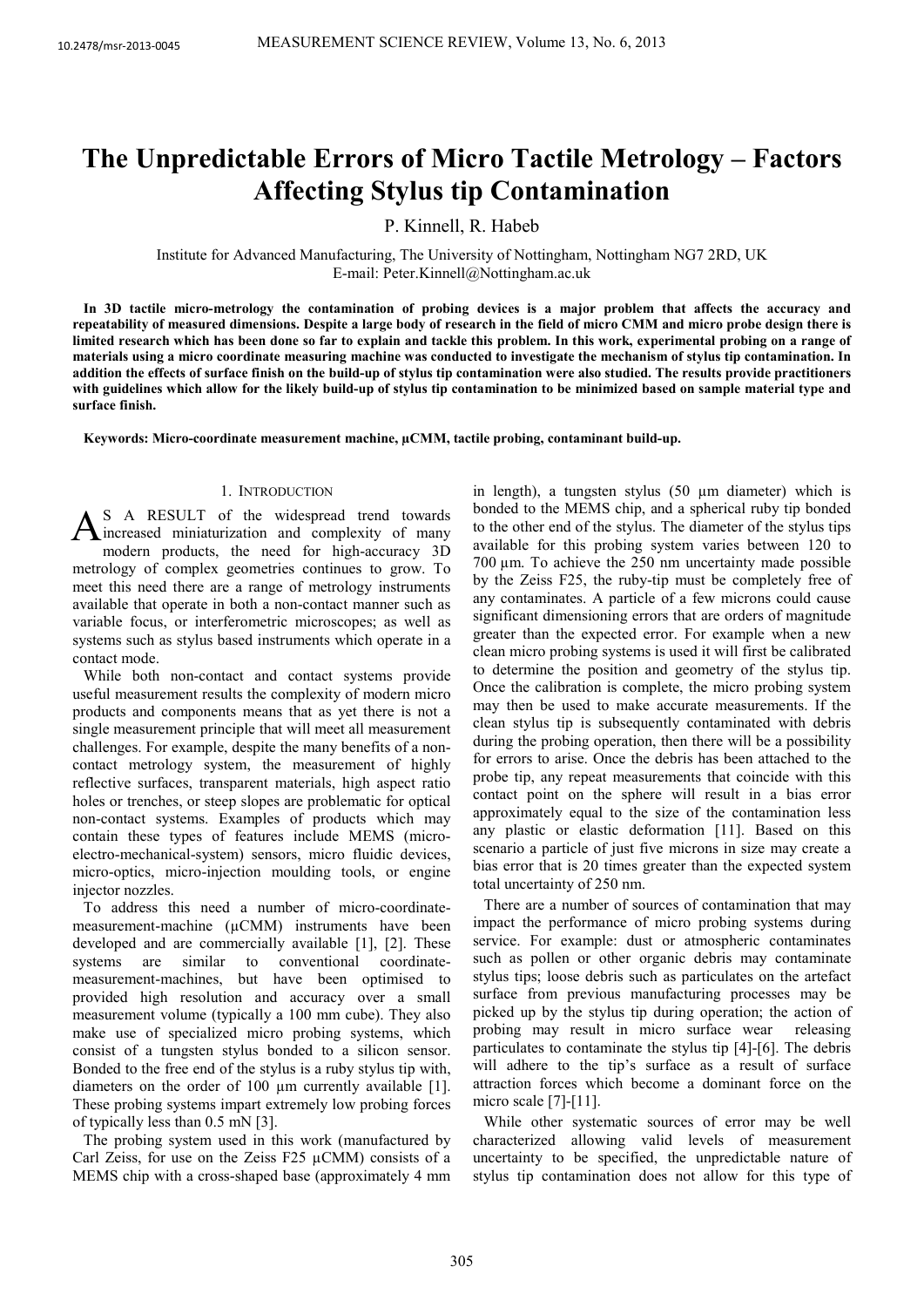# **The Unpredictable Errors of Micro Tactile Metrology – Factors Affecting Stylus tip Contamination**

P. Kinnell, R. Habeb

Institute for Advanced Manufacturing, The University of Nottingham, Nottingham NG7 2RD, UK E-mail: Peter.Kinnell@Nottingham.ac.uk

**In 3D tactile micro-metrology the contamination of probing devices is a major problem that affects the accuracy and repeatability of measured dimensions. Despite a large body of research in the field of micro CMM and micro probe design there is limited research which has been done so far to explain and tackle this problem. In this work, experimental probing on a range of materials using a micro coordinate measuring machine was conducted to investigate the mechanism of stylus tip contamination. In addition the effects of surface finish on the build-up of stylus tip contamination were also studied. The results provide practitioners with guidelines which allow for the likely build-up of stylus tip contamination to be minimized based on sample material type and surface finish.** 

**Keywords: Micro-coordinate measurement machine, µCMM, tactile probing, contaminant build-up.** 

#### 1. INTRODUCTION

S A RESULT of the widespread trend towards  $\mathbf{A}$ <sup>S</sup> A RESULT of the widespread trend towards<br>miniaturization and complexity of many<br>median products the peed for high securesy  $\frac{2D}{2}$ modern products, the need for high-accuracy 3D metrology of complex geometries continues to grow. To meet this need there are a range of metrology instruments available that operate in both a non-contact manner such as variable focus, or interferometric microscopes; as well as systems such as stylus based instruments which operate in a contact mode.

While both non-contact and contact systems provide useful measurement results the complexity of modern micro products and components means that as yet there is not a single measurement principle that will meet all measurement challenges. For example, despite the many benefits of a noncontact metrology system, the measurement of highly reflective surfaces, transparent materials, high aspect ratio holes or trenches, or steep slopes are problematic for optical non-contact systems. Examples of products which may contain these types of features include MEMS (microelectro-mechanical-system) sensors, micro fluidic devices, micro-optics, micro-injection moulding tools, or engine injector nozzles.

To address this need a number of micro-coordinatemeasurement-machine (µCMM) instruments have been developed and are commercially available [1], [2]. These systems are similar to conventional coordinatemeasurement-machines, but have been optimised to provided high resolution and accuracy over a small measurement volume (typically a 100 mm cube). They also make use of specialized micro probing systems, which consist of a tungsten stylus bonded to a silicon sensor. Bonded to the free end of the stylus is a ruby stylus tip with, diameters on the order of 100 µm currently available [1]. These probing systems impart extremely low probing forces of typically less than 0.5 mN [3].

The probing system used in this work (manufactured by Carl Zeiss, for use on the Zeiss F25 µCMM) consists of a MEMS chip with a cross-shaped base (approximately 4 mm in length), a tungsten stylus (50 µm diameter) which is bonded to the MEMS chip, and a spherical ruby tip bonded to the other end of the stylus. The diameter of the stylus tips available for this probing system varies between 120 to 700 µm. To achieve the 250 nm uncertainty made possible by the Zeiss F25, the ruby-tip must be completely free of any contaminates. A particle of a few microns could cause significant dimensioning errors that are orders of magnitude greater than the expected error. For example when a new clean micro probing systems is used it will first be calibrated to determine the position and geometry of the stylus tip. Once the calibration is complete, the micro probing system may then be used to make accurate measurements. If the clean stylus tip is subsequently contaminated with debris during the probing operation, then there will be a possibility for errors to arise. Once the debris has been attached to the probe tip, any repeat measurements that coincide with this contact point on the sphere will result in a bias error approximately equal to the size of the contamination less any plastic or elastic deformation [11]. Based on this scenario a particle of just five microns in size may create a bias error that is 20 times greater than the expected system total uncertainty of 250 nm.

There are a number of sources of contamination that may impact the performance of micro probing systems during service. For example: dust or atmospheric contaminates such as pollen or other organic debris may contaminate stylus tips; loose debris such as particulates on the artefact surface from previous manufacturing processes may be picked up by the stylus tip during operation; the action of probing may result in micro surface wear releasing particulates to contaminate the stylus tip [4]-[6]. The debris will adhere to the tip's surface as a result of surface attraction forces which become a dominant force on the micro scale [7]-[11].

While other systematic sources of error may be well characterized allowing valid levels of measurement uncertainty to be specified, the unpredictable nature of stylus tip contamination does not allow for this type of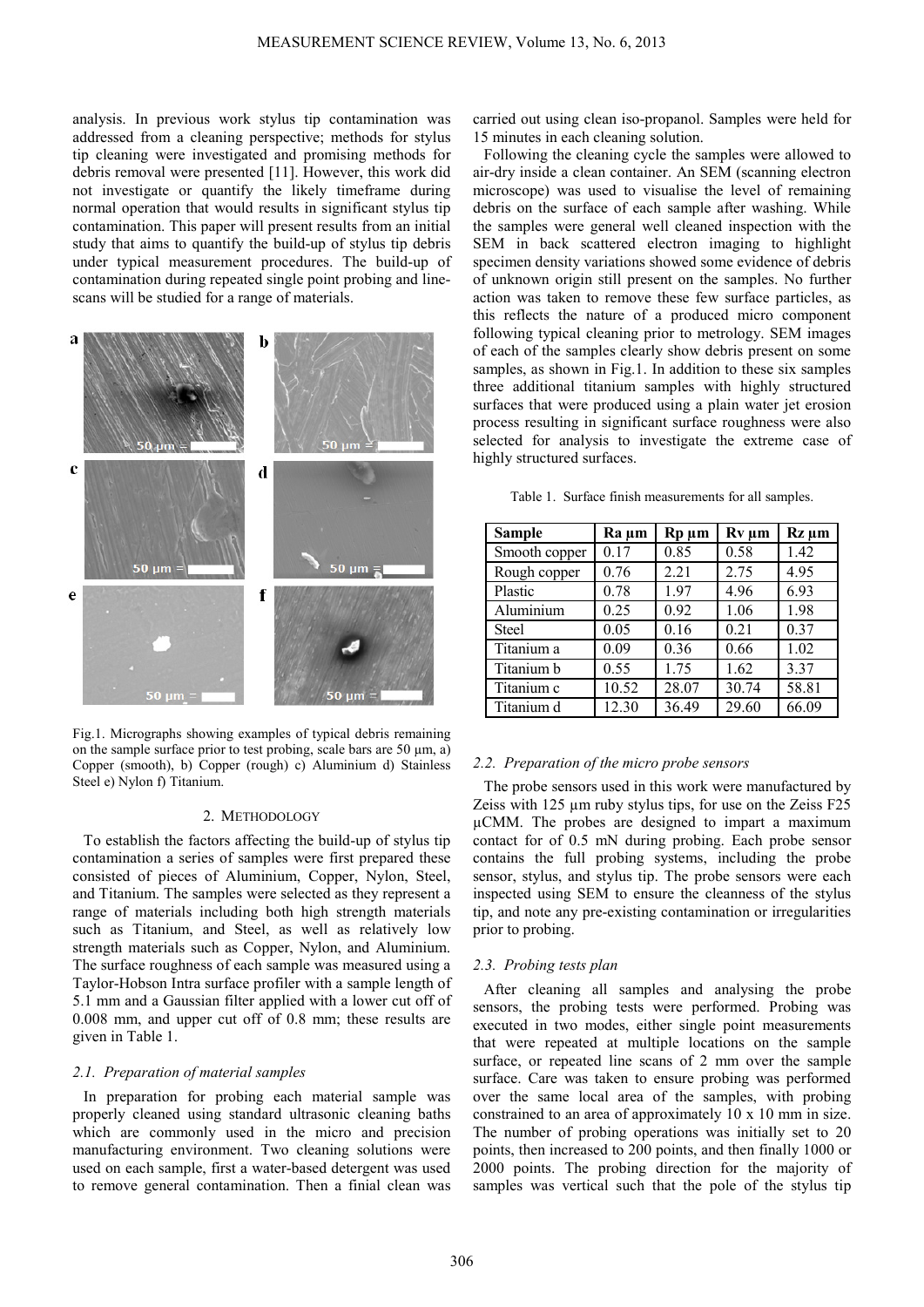analysis. In previous work stylus tip contamination was addressed from a cleaning perspective; methods for stylus tip cleaning were investigated and promising methods for debris removal were presented [11]. However, this work did not investigate or quantify the likely timeframe during normal operation that would results in significant stylus tip contamination. This paper will present results from an initial study that aims to quantify the build-up of stylus tip debris under typical measurement procedures. The build-up of contamination during repeated single point probing and linescans will be studied for a range of materials.



Fig.1. Micrographs showing examples of typical debris remaining on the sample surface prior to test probing, scale bars are 50  $\mu$ m, a) Copper (smooth), b) Copper (rough) c) Aluminium d) Stainless Steel e) Nylon f) Titanium.

### 2. METHODOLOGY

To establish the factors affecting the build-up of stylus tip contamination a series of samples were first prepared these consisted of pieces of Aluminium, Copper, Nylon, Steel, and Titanium. The samples were selected as they represent a range of materials including both high strength materials such as Titanium, and Steel, as well as relatively low strength materials such as Copper, Nylon, and Aluminium. The surface roughness of each sample was measured using a Taylor-Hobson Intra surface profiler with a sample length of 5.1 mm and a Gaussian filter applied with a lower cut off of 0.008 mm, and upper cut off of 0.8 mm; these results are given in Table 1.

#### *2.1. Preparation of material samples*

In preparation for probing each material sample was properly cleaned using standard ultrasonic cleaning baths which are commonly used in the micro and precision manufacturing environment. Two cleaning solutions were used on each sample, first a water-based detergent was used to remove general contamination. Then a finial clean was carried out using clean iso-propanol. Samples were held for 15 minutes in each cleaning solution.

Following the cleaning cycle the samples were allowed to air-dry inside a clean container. An SEM (scanning electron microscope) was used to visualise the level of remaining debris on the surface of each sample after washing. While the samples were general well cleaned inspection with the SEM in back scattered electron imaging to highlight specimen density variations showed some evidence of debris of unknown origin still present on the samples. No further action was taken to remove these few surface particles, as this reflects the nature of a produced micro component following typical cleaning prior to metrology. SEM images of each of the samples clearly show debris present on some samples, as shown in Fig.1. In addition to these six samples three additional titanium samples with highly structured surfaces that were produced using a plain water jet erosion process resulting in significant surface roughness were also selected for analysis to investigate the extreme case of highly structured surfaces.

Table 1. Surface finish measurements for all samples.

| Sample        | Ra µm | Rp µm | $Rv \mu m$ | $Rz \mu m$ |
|---------------|-------|-------|------------|------------|
| Smooth copper | 0.17  | 0.85  | 0.58       | 1.42       |
| Rough copper  | 0.76  | 2.21  | 2.75       | 4.95       |
| Plastic       | 0.78  | 1.97  | 4.96       | 6.93       |
| Aluminium     | 0.25  | 0.92  | 1.06       | 1.98       |
| <b>Steel</b>  | 0.05  | 0.16  | 0.21       | 0.37       |
| Titanium a    | 0.09  | 0.36  | 0.66       | 1.02       |
| Titanium b    | 0.55  | 1.75  | 1.62       | 3.37       |
| Titanium c    | 10.52 | 28.07 | 30.74      | 58.81      |
| Titanium d    | 12.30 | 36.49 | 29.60      | 66.09      |

# *2.2. Preparation of the micro probe sensors*

The probe sensors used in this work were manufactured by Zeiss with 125 µm ruby stylus tips, for use on the Zeiss F25 µCMM. The probes are designed to impart a maximum contact for of 0.5 mN during probing. Each probe sensor contains the full probing systems, including the probe sensor, stylus, and stylus tip. The probe sensors were each inspected using SEM to ensure the cleanness of the stylus tip, and note any pre-existing contamination or irregularities prior to probing.

#### *2.3. Probing tests plan*

After cleaning all samples and analysing the probe sensors, the probing tests were performed. Probing was executed in two modes, either single point measurements that were repeated at multiple locations on the sample surface, or repeated line scans of 2 mm over the sample surface. Care was taken to ensure probing was performed over the same local area of the samples, with probing constrained to an area of approximately 10 x 10 mm in size. The number of probing operations was initially set to 20 points, then increased to 200 points, and then finally 1000 or 2000 points. The probing direction for the majority of samples was vertical such that the pole of the stylus tip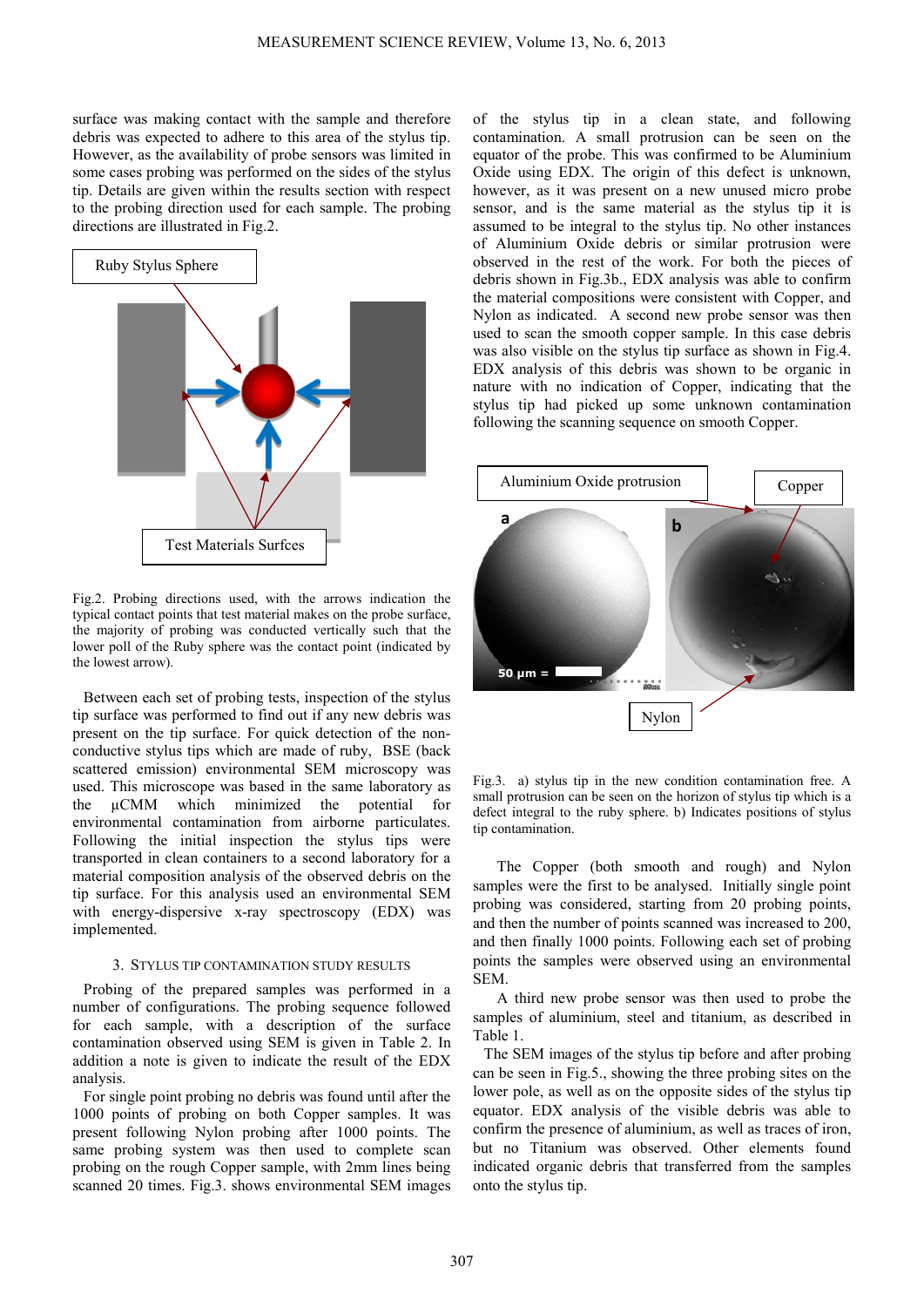surface was making contact with the sample and therefore debris was expected to adhere to this area of the stylus tip. However, as the availability of probe sensors was limited in some cases probing was performed on the sides of the stylus tip. Details are given within the results section with respect to the probing direction used for each sample. The probing directions are illustrated in Fig.2.



Fig.2. Probing directions used, with the arrows indication the typical contact points that test material makes on the probe surface, the majority of probing was conducted vertically such that the lower poll of the Ruby sphere was the contact point (indicated by the lowest arrow).

Between each set of probing tests, inspection of the stylus tip surface was performed to find out if any new debris was present on the tip surface. For quick detection of the nonconductive stylus tips which are made of ruby, BSE (back scattered emission) environmental SEM microscopy was used. This microscope was based in the same laboratory as the µCMM which minimized the potential for environmental contamination from airborne particulates. Following the initial inspection the stylus tips were transported in clean containers to a second laboratory for a material composition analysis of the observed debris on the tip surface. For this analysis used an environmental SEM with energy-dispersive x-ray spectroscopy (EDX) was implemented.

# 3. STYLUS TIP CONTAMINATION STUDY RESULTS

Probing of the prepared samples was performed in a number of configurations. The probing sequence followed for each sample, with a description of the surface contamination observed using SEM is given in Table 2. In addition a note is given to indicate the result of the EDX analysis.

For single point probing no debris was found until after the 1000 points of probing on both Copper samples. It was present following Nylon probing after 1000 points. The same probing system was then used to complete scan probing on the rough Copper sample, with 2mm lines being scanned 20 times. Fig.3. shows environmental SEM images of the stylus tip in a clean state, and following contamination. A small protrusion can be seen on the equator of the probe. This was confirmed to be Aluminium Oxide using EDX. The origin of this defect is unknown, however, as it was present on a new unused micro probe sensor, and is the same material as the stylus tip it is assumed to be integral to the stylus tip. No other instances of Aluminium Oxide debris or similar protrusion were observed in the rest of the work. For both the pieces of debris shown in Fig.3b., EDX analysis was able to confirm the material compositions were consistent with Copper, and Nylon as indicated. A second new probe sensor was then used to scan the smooth copper sample. In this case debris was also visible on the stylus tip surface as shown in Fig.4. EDX analysis of this debris was shown to be organic in nature with no indication of Copper, indicating that the stylus tip had picked up some unknown contamination following the scanning sequence on smooth Copper.



Fig.3. a) stylus tip in the new condition contamination free. A small protrusion can be seen on the horizon of stylus tip which is a defect integral to the ruby sphere. b) Indicates positions of stylus tip contamination.

The Copper (both smooth and rough) and Nylon samples were the first to be analysed. Initially single point probing was considered, starting from 20 probing points, and then the number of points scanned was increased to 200, and then finally 1000 points. Following each set of probing points the samples were observed using an environmental SEM.

A third new probe sensor was then used to probe the samples of aluminium, steel and titanium, as described in Table 1.

The SEM images of the stylus tip before and after probing can be seen in Fig.5., showing the three probing sites on the lower pole, as well as on the opposite sides of the stylus tip equator. EDX analysis of the visible debris was able to confirm the presence of aluminium, as well as traces of iron, but no Titanium was observed. Other elements found indicated organic debris that transferred from the samples onto the stylus tip.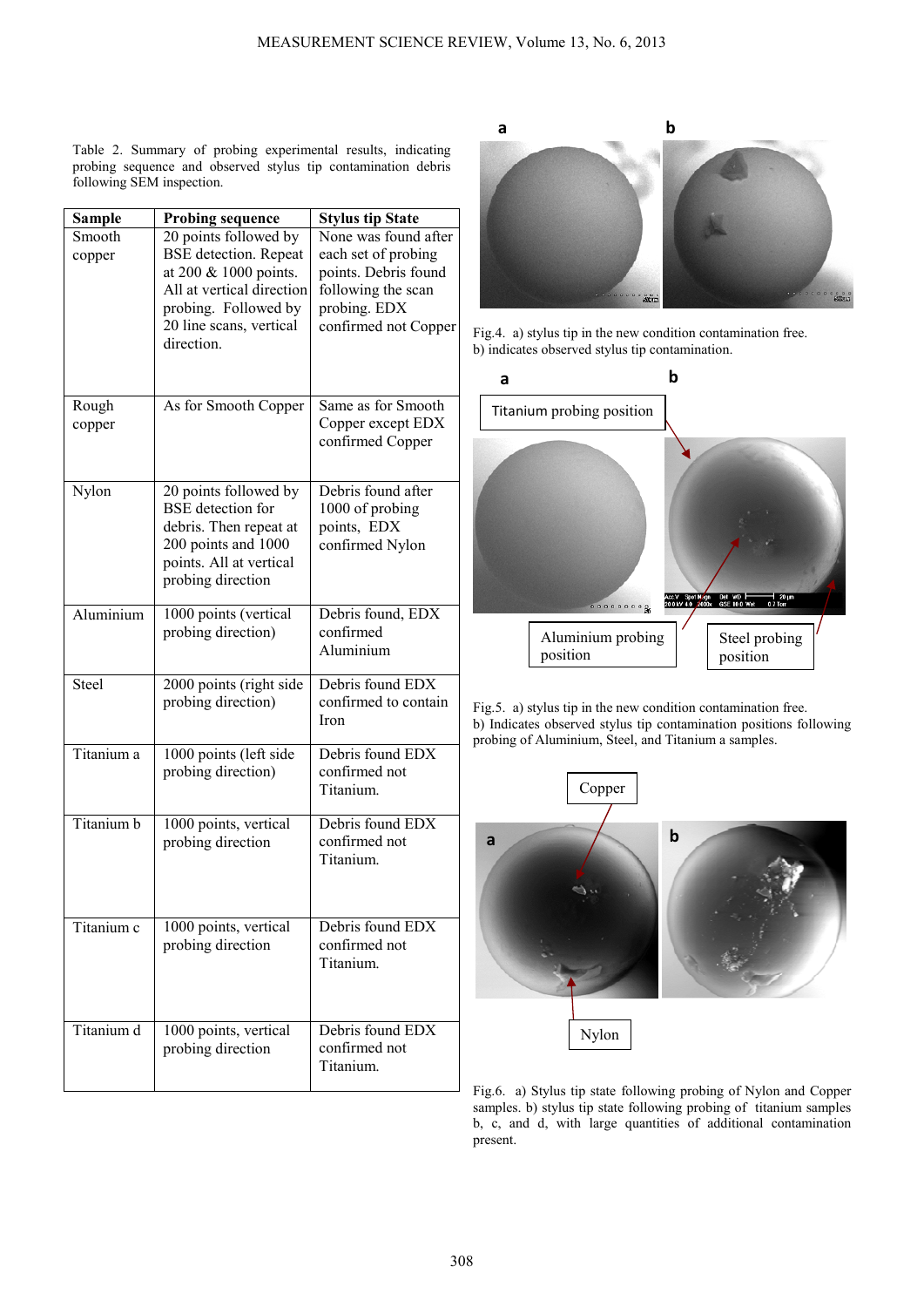|                           |  |  |  |  |  | Table 2. Summary of probing experimental results, indicating  |  |
|---------------------------|--|--|--|--|--|---------------------------------------------------------------|--|
|                           |  |  |  |  |  | probing sequence and observed stylus tip contamination debris |  |
| following SEM inspection. |  |  |  |  |  |                                                               |  |

| <b>Sample</b> | <b>Probing sequence</b>               | <b>Stylus tip State</b>        |
|---------------|---------------------------------------|--------------------------------|
| Smooth        | 20 points followed by                 | None was found after           |
| copper        | <b>BSE</b> detection. Repeat          | each set of probing            |
|               | at $200 \& 1000$ points.              | points. Debris found           |
|               | All at vertical direction             | following the scan             |
|               | probing. Followed by                  | probing. EDX                   |
|               | 20 line scans, vertical<br>direction. | confirmed not Copper           |
|               |                                       |                                |
|               |                                       |                                |
| Rough         | As for Smooth Copper                  | Same as for Smooth             |
| copper        |                                       | Copper except EDX              |
|               |                                       | confirmed Copper               |
|               |                                       |                                |
| Nylon         | 20 points followed by                 | Debris found after             |
|               | <b>BSE</b> detection for              | 1000 of probing                |
|               | debris. Then repeat at                | points, EDX                    |
|               | 200 points and 1000                   | confirmed Nylon                |
|               | points. All at vertical               |                                |
|               | probing direction                     |                                |
|               |                                       |                                |
| Aluminium     | 1000 points (vertical                 | Debris found, EDX<br>confirmed |
|               | probing direction)                    | Aluminium                      |
|               |                                       |                                |
| <b>Steel</b>  | 2000 points (right side               | Debris found EDX               |
|               | probing direction)                    | confirmed to contain           |
|               |                                       | <b>Iron</b>                    |
|               |                                       |                                |
| Titanium a    | 1000 points (left side                | Debris found EDX               |
|               | probing direction)                    | confirmed not<br>Titanium.     |
|               |                                       |                                |
| Titanium b    | 1000 points, vertical                 | Debris found EDX               |
|               | probing direction                     | confirmed not                  |
|               |                                       | Titanium.                      |
|               |                                       |                                |
|               |                                       |                                |
| Titanium c    | 1000 points, vertical                 | Debris found EDX               |
|               | probing direction                     | confirmed not                  |
|               |                                       | Titanium.                      |
|               |                                       |                                |
|               |                                       |                                |
|               |                                       |                                |
| Titanium d    | 1000 points, vertical                 | Debris found EDX               |
|               | probing direction                     | confirmed not<br>Titanium.     |
|               |                                       |                                |







Fig.5. a) stylus tip in the new condition contamination free. b) Indicates observed stylus tip contamination positions following probing of Aluminium, Steel, and Titanium a samples.



Fig.6. a) Stylus tip state following probing of Nylon and Copper samples. b) stylus tip state following probing of titanium samples b, c, and d, with large quantities of additional contamination present.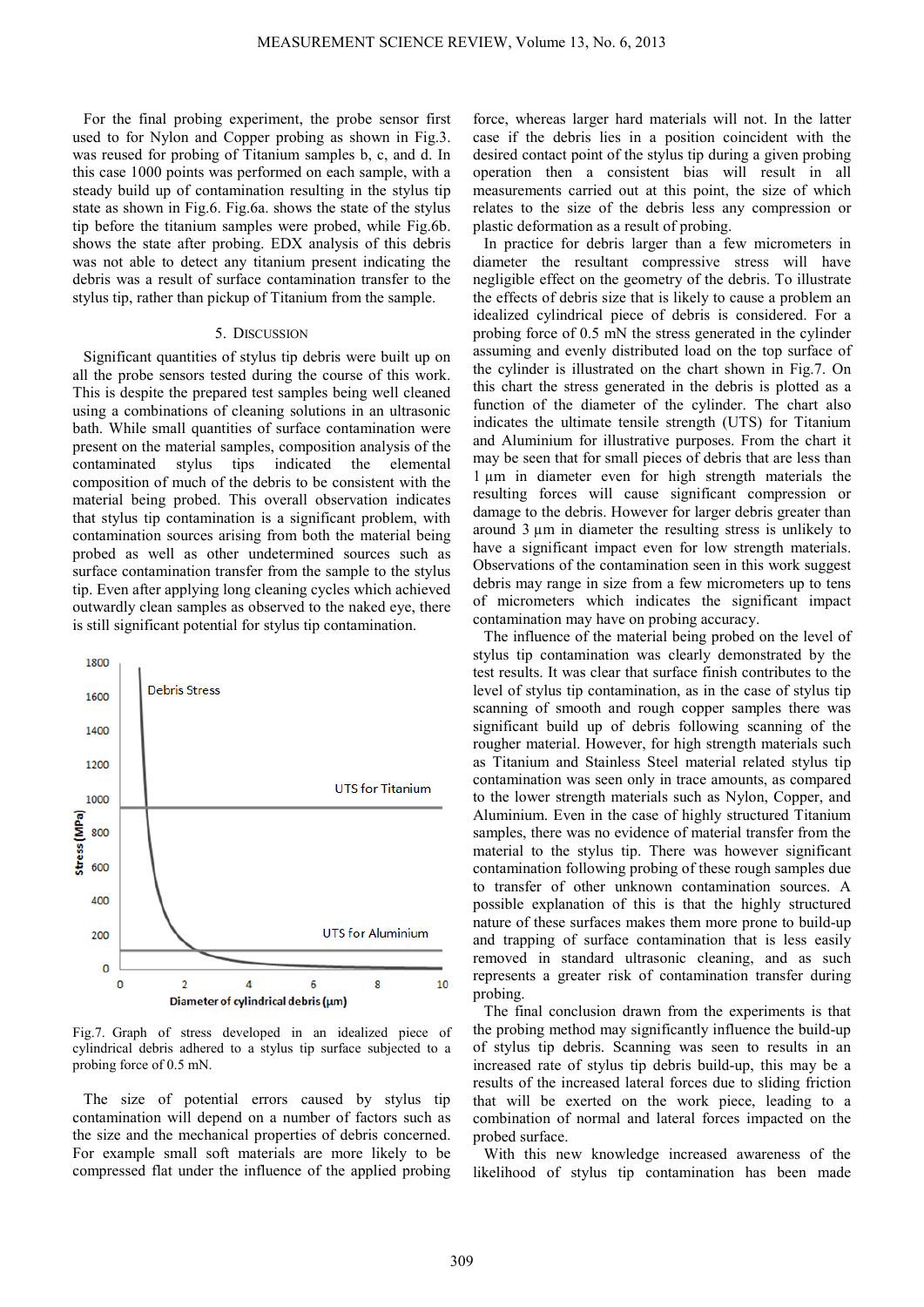For the final probing experiment, the probe sensor first used to for Nylon and Copper probing as shown in Fig.3. was reused for probing of Titanium samples b, c, and d. In this case 1000 points was performed on each sample, with a steady build up of contamination resulting in the stylus tip state as shown in Fig.6. Fig.6a. shows the state of the stylus tip before the titanium samples were probed, while Fig.6b. shows the state after probing. EDX analysis of this debris was not able to detect any titanium present indicating the debris was a result of surface contamination transfer to the stylus tip, rather than pickup of Titanium from the sample.

#### 5. DISCUSSION

Significant quantities of stylus tip debris were built up on all the probe sensors tested during the course of this work. This is despite the prepared test samples being well cleaned using a combinations of cleaning solutions in an ultrasonic bath. While small quantities of surface contamination were present on the material samples, composition analysis of the contaminated stylus tips indicated the elemental composition of much of the debris to be consistent with the material being probed. This overall observation indicates that stylus tip contamination is a significant problem, with contamination sources arising from both the material being probed as well as other undetermined sources such as surface contamination transfer from the sample to the stylus tip. Even after applying long cleaning cycles which achieved outwardly clean samples as observed to the naked eye, there is still significant potential for stylus tip contamination.



Fig.7. Graph of stress developed in an idealized piece of cylindrical debris adhered to a stylus tip surface subjected to a probing force of 0.5 mN.

The size of potential errors caused by stylus tip contamination will depend on a number of factors such as the size and the mechanical properties of debris concerned. For example small soft materials are more likely to be compressed flat under the influence of the applied probing

force, whereas larger hard materials will not. In the latter case if the debris lies in a position coincident with the desired contact point of the stylus tip during a given probing operation then a consistent bias will result in all measurements carried out at this point, the size of which relates to the size of the debris less any compression or plastic deformation as a result of probing.

In practice for debris larger than a few micrometers in diameter the resultant compressive stress will have negligible effect on the geometry of the debris. To illustrate the effects of debris size that is likely to cause a problem an idealized cylindrical piece of debris is considered. For a probing force of 0.5 mN the stress generated in the cylinder assuming and evenly distributed load on the top surface of the cylinder is illustrated on the chart shown in Fig.7. On this chart the stress generated in the debris is plotted as a function of the diameter of the cylinder. The chart also indicates the ultimate tensile strength (UTS) for Titanium and Aluminium for illustrative purposes. From the chart it may be seen that for small pieces of debris that are less than 1 µm in diameter even for high strength materials the resulting forces will cause significant compression or damage to the debris. However for larger debris greater than around 3 µm in diameter the resulting stress is unlikely to have a significant impact even for low strength materials. Observations of the contamination seen in this work suggest debris may range in size from a few micrometers up to tens of micrometers which indicates the significant impact contamination may have on probing accuracy.

The influence of the material being probed on the level of stylus tip contamination was clearly demonstrated by the test results. It was clear that surface finish contributes to the level of stylus tip contamination, as in the case of stylus tip scanning of smooth and rough copper samples there was significant build up of debris following scanning of the rougher material. However, for high strength materials such as Titanium and Stainless Steel material related stylus tip contamination was seen only in trace amounts, as compared to the lower strength materials such as Nylon, Copper, and Aluminium. Even in the case of highly structured Titanium samples, there was no evidence of material transfer from the material to the stylus tip. There was however significant contamination following probing of these rough samples due to transfer of other unknown contamination sources. A possible explanation of this is that the highly structured nature of these surfaces makes them more prone to build-up and trapping of surface contamination that is less easily removed in standard ultrasonic cleaning, and as such represents a greater risk of contamination transfer during probing.

The final conclusion drawn from the experiments is that the probing method may significantly influence the build-up of stylus tip debris. Scanning was seen to results in an increased rate of stylus tip debris build-up, this may be a results of the increased lateral forces due to sliding friction that will be exerted on the work piece, leading to a combination of normal and lateral forces impacted on the probed surface.

With this new knowledge increased awareness of the likelihood of stylus tip contamination has been made